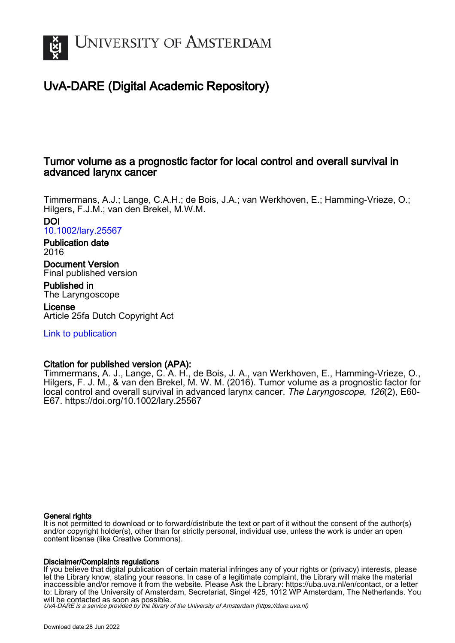

# UvA-DARE (Digital Academic Repository)

# Tumor volume as a prognostic factor for local control and overall survival in advanced larynx cancer

Timmermans, A.J.; Lange, C.A.H.; de Bois, J.A.; van Werkhoven, E.; Hamming-Vrieze, O.; Hilgers, F.J.M.; van den Brekel, M.W.M. DOI

[10.1002/lary.25567](https://doi.org/10.1002/lary.25567)

Publication date 2016

Document Version Final published version

Published in The Laryngoscope

License Article 25fa Dutch Copyright Act

[Link to publication](https://dare.uva.nl/personal/pure/en/publications/tumor-volume-as-a-prognostic-factor-for-local-control-and-overall-survival-in-advanced-larynx-cancer(539c39f6-9f5f-422c-aedf-223e3a918ad7).html)

# Citation for published version (APA):

Timmermans, A. J., Lange, C. A. H., de Bois, J. A., van Werkhoven, E., Hamming-Vrieze, O., Hilgers, F. J. M., & van den Brekel, M. W. M. (2016). Tumor volume as a prognostic factor for local control and overall survival in advanced larynx cancer. The Laryngoscope, 126(2), E60-E67. <https://doi.org/10.1002/lary.25567>

# General rights

It is not permitted to download or to forward/distribute the text or part of it without the consent of the author(s) and/or copyright holder(s), other than for strictly personal, individual use, unless the work is under an open content license (like Creative Commons).

# Disclaimer/Complaints regulations

If you believe that digital publication of certain material infringes any of your rights or (privacy) interests, please let the Library know, stating your reasons. In case of a legitimate complaint, the Library will make the material inaccessible and/or remove it from the website. Please Ask the Library: https://uba.uva.nl/en/contact, or a letter to: Library of the University of Amsterdam, Secretariat, Singel 425, 1012 WP Amsterdam, The Netherlands. You will be contacted as soon as possible.

UvA-DARE is a service provided by the library of the University of Amsterdam (http*s*://dare.uva.nl)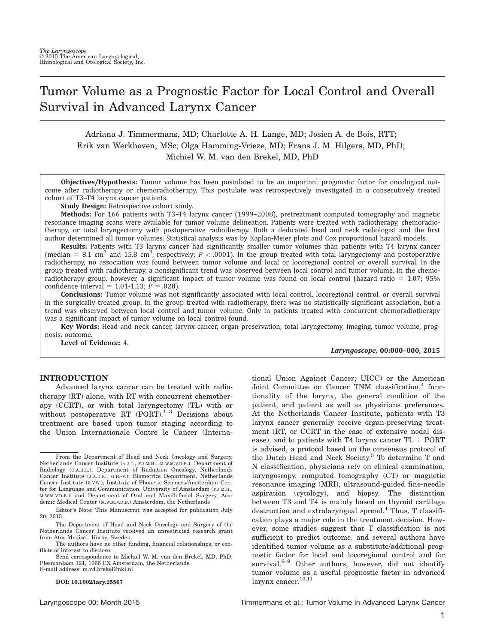# Tumor Volume as a Prognostic Factor for Local Control and Overall Survival in Advanced Larynx Cancer

Adriana J. Timmermans, MD; Charlotte A. H. Lange, MD; Josien A. de Bois, RTT; Erik van Werkhoven, MSc; Olga Hamming-Vrieze, MD; Frans J. M. Hilgers, MD, PhD; Michiel W. M. van den Brekel, MD, PhD

Objectives/Hypothesis: Tumor volume has been postulated to be an important prognostic factor for oncological outcome after radiotherapy or chemoradiotherapy. This postulate was retrospectively investigated in a consecutively treated cohort of T3–T4 larynx cancer patients.

Study Design: Retrospective cohort study.

Methods: For 166 patients with T3–T4 larynx cancer (1999–2008), pretreatment computed tomography and magnetic resonance imaging scans were available for tumor volume delineation. Patients were treated with radiotherapy, chemoradiotherapy, or total laryngectomy with postoperative radiotherapy. Both a dedicated head and neck radiologist and the first author determined all tumor volumes. Statistical analysis was by Kaplan-Meier plots and Cox proportional hazard models.

Results: Patients with T3 larynx cancer had significantly smaller tumor volumes than patients with T4 larynx cancer (median = 8.1 cm<sup>3</sup> and 15.8 cm<sup>3</sup>, respectively;  $P < .0001$ ). In the group treated with total laryngectomy and postoperative radiotherapy, no association was found between tumor volume and local or locoregional control or overall survival. In the group treated with radiotherapy, a nonsignificant trend was observed between local control and tumor volume. In the chemoradiotherapy group, however, a significant impact of tumor volume was found on local control (hazard ratio  $= 1.07; 95\%$ confidence interval =  $1.01 - 1.13$ ;  $P = .028$ ).

Conclusions: Tumor volume was not significantly associated with local control, locoregional control, or overall survival in the surgically treated group. In the group treated with radiotherapy, there was no statistically significant association, but a trend was observed between local control and tumor volume. Only in patients treated with concurrent chemoradiotherapy was a significant impact of tumor volume on local control found.

Key Words: Head and neck cancer, larynx cancer, organ preservation, total laryngectomy, imaging, tumor volume, prognosis, outcome.

Level of Evidence: 4.

Laryngoscope, 00:000–000, 2015

#### **INTRODUCTION**

Advanced larynx cancer can be treated with radiotherapy (RT) alone, with RT with concurrent chemotherapy (CCRT), or with total laryngectomy (TL) with or without postoperative RT  $(PORT)$ <sup>1-3</sup> Decisions about treatment are based upon tumor staging according to the Union Internationale Contre le Cancer (Interna-

DOI: 10.1002/lary.25567

tional Union Against Cancer; UICC) or the American Joint Committee on Cancer TNM classification,<sup>4</sup> functionality of the larynx, the general condition of the patient, and patient as well as physicians preferences. At the Netherlands Cancer Institute, patients with T3 larynx cancer generally receive organ-preserving treatment (RT, or CCRT in the case of extensive nodal disease), and to patients with T4 larynx cancer  $TL + PORT$ is advised, a protocol based on the consensus protocol of the Dutch Head and Neck Society.5 To determine T and N classification, physicians rely on clinical examination, laryngoscopy, computed tomography (CT) or magnetic resonance imaging (MRI), ultrasound-guided fine-needle aspiration (cytology), and biopsy. The distinction between T3 and T4 is mainly based on thyroid cartilage destruction and extralaryngeal spread.<sup>4</sup> Thus, T classification plays a major role in the treatment decision. However, some studies suggest that T classification is not sufficient to predict outcome, and several authors have identified tumor volume as a substitute/additional prognostic factor for local and locoregional control and for survival.<sup>6-9</sup> Other authors, however, did not identify tumor volume as a useful prognostic factor in advanced  $larynx$  cancer.<sup>10,11</sup>

From the Department of Head and Neck Oncology and Surgery, Netherlands Cancer Institute (A.J.T., F.J.M.H., M.W.M.V.D.B.), Department of Radiology (C.A.H.L.); Department of Radiation Oncology, Netherlands<br>Cancer Institute (J.A.D.B., O.H.-V.); Biometrics Department, Netherlands Cancer Institute (E.V.W.); Institute of Phonetic Sciences/Amsterdam Center for Language and Communication, University of Amsterdam (F.J.M.H., M.W.M.V.D.B.); and Department of Oral and Maxillofacial Surgery, Academic Medical Center (M.W.M.V.D.B.) Amsterdam, the Netherlands

Editor's Note: This Manuscript was accepted for publication July 20, 2015.

The Department of Head and Neck Oncology and Surgery of the Netherlands Cancer Institute received an unrestricted research grant from Atos Medical, Hörby, Sweden.

The authors have no other funding, financial relationships, or conflicts of interest to disclose.

Send correspondence to Michiel W. M. van den Brekel, MD, PhD, Plesmanlaan 121, 1066 CX Amsterdam, the Netherlands. E-mail address: m.vd.brekel@nki.nl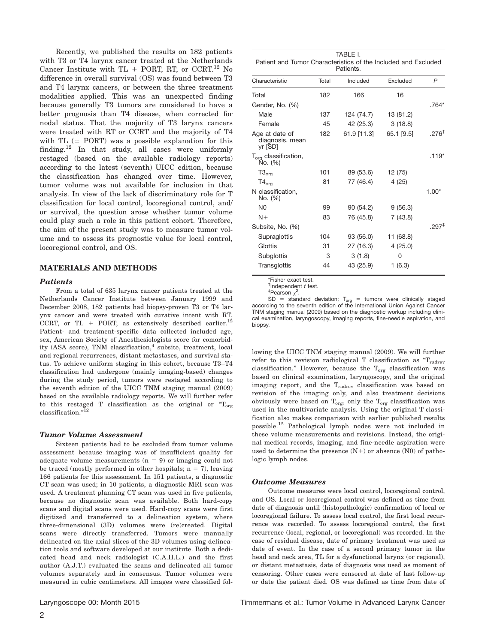Recently, we published the results on 182 patients with T3 or T4 larynx cancer treated at the Netherlands Cancer Institute with  $TL + PORT$ , RT, or CCRT.<sup>12</sup> No difference in overall survival (OS) was found between T3 and T4 larynx cancers, or between the three treatment modalities applied. This was an unexpected finding because generally T3 tumors are considered to have a better prognosis than T4 disease, when corrected for nodal status. That the majority of T3 larynx cancers were treated with RT or CCRT and the majority of T4 with TL  $(±$  PORT) was a possible explanation for this finding.<sup>12</sup> In that study, all cases were uniformly restaged (based on the available radiology reports) according to the latest (seventh) UICC edition, because the classification has changed over time. However, tumor volume was not available for inclusion in that analysis. In view of the lack of discriminatory role for T classification for local control, locoregional control, and/ or survival, the question arose whether tumor volume could play such a role in this patient cohort. Therefore, the aim of the present study was to measure tumor volume and to assess its prognostic value for local control, locoregional control, and OS.

# MATERIALS AND METHODS

#### **Patients**

From a total of 635 larynx cancer patients tre Netherlands Cancer Institute between January December 2008, 182 patients had biopsy-proven T3 ynx cancer and were treated with curative intent CCRT, or  $TL + PORT$ , as extensively described Patient- and treatment-specific data collected included age, sex, American Society of Anesthesiologists score for comorbidity (ASA score), TNM classification, $<sup>4</sup>$  subsite, treatment, local</sup> and regional recurrences, distant metastases, and survival status. To achieve uniform staging in this cohort, because T3–T4 classification had undergone (mainly imaging-based) changes during the study period, tumors were restaged according to the seventh edition of the UICC TNM staging manual (2009) based on the available radiology reports. We will further refer to this restaged T classification as the original or  $T_{org}$ classification."12

#### Tumor Volume Assessment

Sixteen patients had to be excluded from tumor volume assessment because imaging was of insufficient quality for adequate volume measurements  $(n = 9)$  or imaging could not be traced (mostly performed in other hospitals;  $n = 7$ ), leaving 166 patients for this assessment. In 151 patients, a diagnostic CT scan was used; in 10 patients, a diagnostic MRI scan was used. A treatment planning CT scan was used in five patients, because no diagnostic scan was available. Both hard-copy scans and digital scans were used. Hard-copy scans were first digitized and transferred to a delineation system, where three-dimensional (3D) volumes were (re)created. Digital scans were directly transferred. Tumors were manually delineated on the axial slices of the 3D volumes using delineation tools and software developed at our institute. Both a dedicated head and neck radiologist (C.A.H.L.) and the first author (A.J.T.) evaluated the scans and delineated all tumor volumes separately and in consensus. Tumor volumes were measured in cubic centimeters. All images were classified fol-

|                                                                             | Subglottis                                                                                                                                                                                                                                                                                                                               | 3  | 3(1.8)                                                                |        |  |
|-----------------------------------------------------------------------------|------------------------------------------------------------------------------------------------------------------------------------------------------------------------------------------------------------------------------------------------------------------------------------------------------------------------------------------|----|-----------------------------------------------------------------------|--------|--|
|                                                                             | Transglottis                                                                                                                                                                                                                                                                                                                             | 44 | 43 (25.9)                                                             | 1(6.3) |  |
| ated at the<br>1999 and<br>or T4 lar-<br>t with RT.<br>$l$ earlier. $^{12}$ | *Fisher exact test.<br>$†$ Independent t test.<br><sup>‡</sup> Pearson $\gamma^2$ .<br>according to the seventh edition of the International Union Against Cancer<br>TNM staging manual (2009) based on the diagnostic workup including clini-<br>cal examination, laryngoscopy, imaging reports, fine-needle aspiration, and<br>biopsy. |    | $SD = standard deviation$ ; $T_{ora} =$ tumors were clinically staged |        |  |

lowing the UICC TNM staging manual (2009). We will further refer to this revision radiological T classification as  $T_{\text{radrev}}$ classification." However, because the  $T_{org}$  classification was based on clinical examination, laryngoscopy, and the original imaging report, and the  $T_{\text{radrev}}$  classification was based on revision of the imaging only, and also treatment decisions obviously were based on  $T_{org}$ , only the  $T_{org}$  classification was used in the multivariate analysis. Using the original T classification also makes comparison with earlier published results possible.<sup>12</sup> Pathological lymph nodes were not included in these volume measurements and revisions. Instead, the original medical records, imaging, and fine-needle aspiration were used to determine the presence  $(N+)$  or absence  $(N0)$  of pathologic lymph nodes.

#### Outcome Measures

Outcome measures were local control, locoregional control, and OS. Local or locoregional control was defined as time from date of diagnosis until (histopathologic) confirmation of local or locoregional failure. To assess local control, the first local recurrence was recorded. To assess locoregional control, the first recurrence (local, regional, or locoregional) was recorded. In the case of residual disease, date of primary treatment was used as date of event. In the case of a second primary tumor in the head and neck area, TL for a dysfunctional larynx (or regional), or distant metastasis, date of diagnosis was used as moment of censoring. Other cases were censored at date of last follow-up or date the patient died. OS was defined as time from date of

Patient and Tumor Characteristics of the Included and Excluded Patients.

| Characteristic                               | Total | Included    | Excluded   | P                 |
|----------------------------------------------|-------|-------------|------------|-------------------|
| Total                                        | 182   | 166         | 16         |                   |
| Gender, No. (%)                              |       |             |            | .764*             |
| Male                                         | 137   | 124 (74.7)  | 13 (81.2)  |                   |
| Female                                       | 45    | 42 (25.3)   | 3(18.8)    |                   |
| Age at date of<br>diagnosis, mean<br>yr [SD] | 182   | 61.9 [11.3] | 65.1 [9.5] | $.276^{\dagger}$  |
| T <sub>org</sub> classification,<br>No. (%)  |       |             |            | $.119*$           |
| $T3_{org}$                                   | 101   | 89 (53.6)   | 12 (75)    |                   |
| $T4_{org}$                                   | 81    | 77 (46.4)   | 4(25)      |                   |
| N classification,<br>No. (%)                 |       |             |            | $1.00*$           |
| N <sub>0</sub>                               | 99    | 90 (54.2)   | 9(56.3)    |                   |
| $N+$                                         | 83    | 76 (45.8)   | 7(43.8)    |                   |
| Subsite, No. (%)                             |       |             |            | $.297^{\ddagger}$ |
| Supraglottis                                 | 104   | 93 (56.0)   | 11 (68.8)  |                   |
| Glottis                                      | 31    | 27 (16.3)   | 4(25.0)    |                   |
| Subglottis                                   | 3     | 3(1.8)      | 0          |                   |
| Transglottis                                 | 44    | 43 (25.9)   | 1(6.3)     |                   |
|                                              |       |             |            |                   |

TABLE I.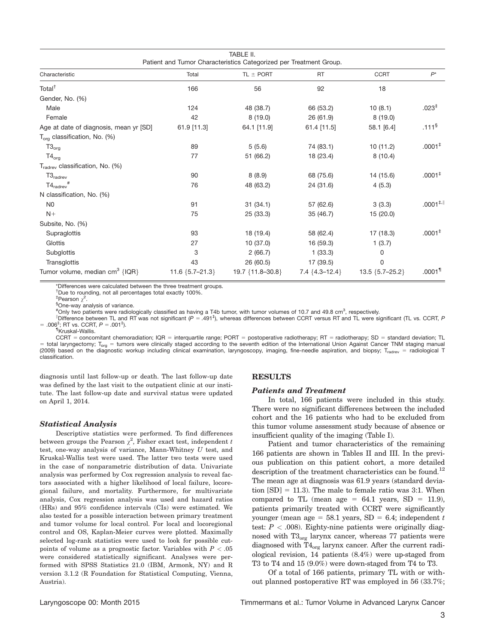|                                                                    |                   | TABLE II.              |                      |                       |                       |  |  |
|--------------------------------------------------------------------|-------------------|------------------------|----------------------|-----------------------|-----------------------|--|--|
| Patient and Tumor Characteristics Categorized per Treatment Group. |                   |                        |                      |                       |                       |  |  |
| Characteristic                                                     | Total             | $TL + PORT$            | <b>RT</b>            | <b>CCRT</b>           | $P^*$                 |  |  |
| Total <sup>†</sup>                                                 | 166               | 56                     | 92                   | 18                    |                       |  |  |
| Gender, No. (%)                                                    |                   |                        |                      |                       |                       |  |  |
| Male                                                               | 124               | 48 (38.7)              | 66 (53.2)            | 10(8.1)               | .023 <sup>‡</sup>     |  |  |
| Female                                                             | 42                | 8(19.0)                | 26 (61.9)            | 8(19.0)               |                       |  |  |
| Age at date of diagnosis, mean yr [SD]                             | 61.9 [11.3]       | 64.1 [11.9]            | $61.4$ [11.5]        | 58.1 [6.4]            | .111 <sup>§</sup>     |  |  |
| $T_{\text{ora}}$ classification, No. (%)                           |                   |                        |                      |                       |                       |  |  |
| $T3_{org}$                                                         | 89                | 5(5.6)                 | 74 (83.1)            | 10(11.2)              | .0001 <sup>‡</sup>    |  |  |
| $T4_{\text{ora}}$                                                  | 77                | 51 (66.2)              | 18 (23.4)            | 8(10.4)               |                       |  |  |
| $T_{\text{radrev}}$ classification, No. (%)                        |                   |                        |                      |                       |                       |  |  |
| $T3_{\text{radrev}}$                                               | 90                | 8(8.9)                 | 68 (75.6)            | 14 (15.6)             | $.0001^+$             |  |  |
| $T4_{\text{radrev}}$ #                                             | 76                | 48 (63.2)              | 24 (31.6)            | 4(5.3)                |                       |  |  |
| N classification, No. (%)                                          |                   |                        |                      |                       |                       |  |  |
| N <sub>0</sub>                                                     | 91                | 31(34.1)               | 57 (62.6)            | 3(3.3)                | $.0001^{+,  }$        |  |  |
| $N+$                                                               | 75                | 25 (33.3)              | 35 (46.7)            | 15(20.0)              |                       |  |  |
| Subsite, No. (%)                                                   |                   |                        |                      |                       |                       |  |  |
| Supraglottis                                                       | 93                | 18 (19.4)              | 58 (62.4)            | 17 (18.3)             | .0001 <sup>‡</sup>    |  |  |
| Glottis                                                            | 27                | 10 (37.0)              | 16 (59.3)            | 1(3.7)                |                       |  |  |
| Subglottis                                                         | 3                 | 2(66.7)                | 1(33.3)              | 0                     |                       |  |  |
| Transglottis                                                       | 43                | 26 (60.5)              | 17 (39.5)            | 0                     |                       |  |  |
| Tumor volume, median $cm3$ {IQR}                                   | 11.6 ${5.7-21.3}$ | 19.7 $\{11.8 - 30.8\}$ | $7.4 \{4.3 - 12.4\}$ | $13.5 \{5.7 - 25.2\}$ | $.0001$ <sup>11</sup> |  |  |

\*Differences were calculated between the three treatment groups.

† Due to rounding, not all percentages total exactly 100%.

<sup>‡</sup>Pearson  $\chi^2$ .

One-way analysis of variance.

#Only two patients were radiologically classified as having a T4b tumor, with tumor volumes of 10.7 and 49.8 cm<sup>3</sup>, respectively.<br>IDifference between TL and PT was not significant (P = 401<sup>4</sup>), whereas differences between

Difference between TL and RT was not significant (P = .491<sup>+</sup>), whereas differences between CCRT versus RT and TL were significant (TL vs. CCRT, P = .006<sup>‡</sup>; RT vs. CCRT,  $P = .001<sup>‡</sup>$ ).<br><sup>1</sup>[Kruskal-Wallis.

 $CCRT = concomitant chemoradiation; IQR = interquartile range; PORT = postoperative radiotherapy; RT = radiotherapy; SD = standard deviation; TL$  $=$  total laryngectomy; T<sub>org</sub> = tumors were clinically staged according to the seventh edition of the International Union Against Cancer TNM staging manual (2009) based on the diagnostic workup including clinical examination, laryngoscopy, imaging, fine-needle aspiration, and biopsy; T<sub>radrev</sub> = radiological T classification.

diagnosis until last follow-up or death. The last follow-up date was defined by the last visit to the outpatient clinic at our institute. The last follow-up date and survival status were updated on April 1, 2014.

#### Statistical Analysis

Descriptive statistics were performed. To find differences between groups the Pearson  $\chi^2$ , Fisher exact test, independent t test, one-way analysis of variance, Mann-Whitney U test, and Kruskal-Wallis test were used. The latter two tests were used in the case of nonparametric distribution of data. Univariate analysis was performed by Cox regression analysis to reveal factors associated with a higher likelihood of local failure, locoregional failure, and mortality. Furthermore, for multivariate analysis, Cox regression analysis was used and hazard ratios (HRs) and 95% confidence intervals (CIs) were estimated. We also tested for a possible interaction between primary treatment and tumor volume for local control. For local and locoregional control and OS, Kaplan-Meier curves were plotted. Maximally selected log-rank statistics were used to look for possible cutpoints of volume as a prognostic factor. Variables with  $P < .05$ were considered statistically significant. Analyses were performed with SPSS Statistics 21.0 (IBM, Armonk, NY) and R version 3.1.2 (R Foundation for Statistical Computing, Vienna, Austria).

### RESULTS

#### Patients and Treatment

In total, 166 patients were included in this study. There were no significant differences between the included cohort and the 16 patients who had to be excluded from this tumor volume assessment study because of absence or insufficient quality of the imaging (Table I).

Patient and tumor characteristics of the remaining 166 patients are shown in Tables II and III. In the previous publication on this patient cohort, a more detailed description of the treatment characteristics can be found.<sup>12</sup> The mean age at diagnosis was 61.9 years (standard deviation  $[SD] = 11.3$ ). The male to female ratio was 3:1. When compared to TL (mean age  $= 64.1$  years, SD  $= 11.9$ ), patients primarily treated with CCRT were significantly younger (mean age = 58.1 years, SD = 6.4; independent t test:  $P < .008$ ). Eighty-nine patients were originally diagnosed with  $T3_{org}$  larynx cancer, whereas 77 patients were diagnosed with  $T4_{org}$  larynx cancer. After the current radiological revision, 14 patients (8.4%) were up-staged from T3 to T4 and 15 (9.0%) were down-staged from T4 to T3.

Of a total of 166 patients, primary TL with or without planned postoperative RT was employed in 56 (33.7%;

Laryngoscope 00: Month 2015 Timmermans et al.: Tumor Volume in Advanced Larynx Cancer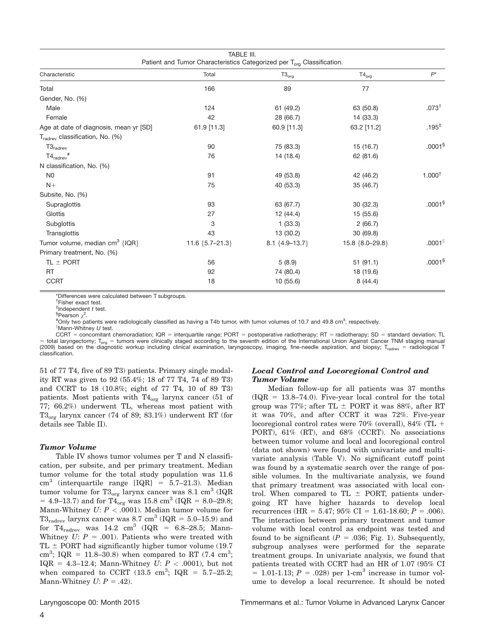| TABLE III.<br>Patient and Tumor Characteristics Categorized per T <sub>org</sub> Classification. |                   |                  |                 |                    |  |  |  |
|--------------------------------------------------------------------------------------------------|-------------------|------------------|-----------------|--------------------|--|--|--|
| Characteristic                                                                                   | Total             | $T3_{org}$       | $T4_{org}$      | $P^*$              |  |  |  |
| Total                                                                                            | 166               | 89               | 77              |                    |  |  |  |
| Gender, No. (%)                                                                                  |                   |                  |                 |                    |  |  |  |
| Male                                                                                             | 124               | 61 (49.2)        | 63 (50.8)       | $.073^{+}$         |  |  |  |
| Female                                                                                           | 42                | 28 (66.7)        | 14 (33.3)       |                    |  |  |  |
| Age at date of diagnosis, mean yr [SD]                                                           | 61.9 [11.3]       | 60.9 [11.3]      | 63.2 [11.2]     | $.195^{\ddagger}$  |  |  |  |
| T <sub>radrev</sub> classification, No. (%)                                                      |                   |                  |                 |                    |  |  |  |
| $T3_{\text{radrev}}$                                                                             | 90                | 75 (83.3)        | 15(16.7)        | .0001 <sup>§</sup> |  |  |  |
| $T4_{\text{radrev}}$ #                                                                           | 76                | 14 (18.4)        | 62 (81.6)       |                    |  |  |  |
| N classification, No. (%)                                                                        |                   |                  |                 |                    |  |  |  |
| N <sub>0</sub>                                                                                   | 91                | 49 (53.8)        | 42 (46.2)       | $1.000^{\dagger}$  |  |  |  |
| $N+$                                                                                             | 75                | 40 (53.3)        | 35 (46.7)       |                    |  |  |  |
| Subsite, No. (%)                                                                                 |                   |                  |                 |                    |  |  |  |
| Supraglottis                                                                                     | 93                | 63 (67.7)        | 30(32.3)        | .0001 <sup>§</sup> |  |  |  |
| Glottis                                                                                          | 27                | 12 (44.4)        | 15 (55.6)       |                    |  |  |  |
| Subglottis                                                                                       | 3                 | 1(33.3)          | 2(66.7)         |                    |  |  |  |
| Transglottis                                                                                     | 43                | 13 (30.2)        | 30 (69.8)       |                    |  |  |  |
| Tumor volume, median $cm3$ {IQR}                                                                 | 11.6 ${5.7-21.3}$ | 8.1 ${4.9-13.7}$ | 15.8 {8.0-29.8} | .0001              |  |  |  |
| Primary treatment, No. (%)                                                                       |                   |                  |                 |                    |  |  |  |
| TL $\pm$ PORT                                                                                    | 56                | 5(8.9)           | 51(91.1)        | .0001 <sup>§</sup> |  |  |  |
| <b>RT</b>                                                                                        | 92                | 74 (80.4)        | 18 (19.6)       |                    |  |  |  |
| <b>CCRT</b>                                                                                      | 18                | 10 (55.6)        | 8(44.4)         |                    |  |  |  |

\*Differences were calculated between T subgroups.

† Fisher exact test.

 $\frac{1}{2}$ Pearson  $\chi^2$ .

#Only two patients were radiologically classified as having a T4b tumor, with tumor volumes of 10.7 and 49.8 cm<sup>3</sup>, respectively.<br><sup>||</sup>Mann Whitnoy U tost Mann-Whitney U test.

 $CCHT = concomitant chemicalation; IQR = interquartile range; PORT = postoperative radiotherapy; RT = radiotherapy; SD = standard deviation; TL$ = total laryngectomy; T<sub>org</sub> = tumors were clinically staged according to the seventh edition of the International Union Against Cancer TNM staging manual<br>(2009) based on the diagnostic workup including clinical examinatio classification.

51 of 77 T4, five of 89 T3) patients. Primary single modality RT was given to 92 (55.4%; 18 of 77 T4, 74 of 89 T3) and CCRT to 18 (10.8%; eight of 77 T4, 10 of 89 T3) patients. Most patients with  $T4_{org}$  larynx cancer (51 of 77; 66.2%) underwent TL, whereas most patient with  $T3_{\text{or}}$  larynx cancer (74 of 89; 83.1%) underwent RT (for details see Table II).

# Tumor Volume

Table IV shows tumor volumes per T and N classification, per subsite, and per primary treatment. Median tumor volume for the total study population was 11.6  $cm<sup>3</sup>$  (interquartile range [IQR] = 5.7–21.3). Median tumor volume for  $T3_{org}$  larynx cancer was 8.1 cm<sup>3</sup> (IQR = 4.9–13.7) and for  $T4_{org}$  was 15.8 cm<sup>3</sup> (IQR = 8.0–29.8; Mann-Whitney  $U: P < .0001$ ). Median tumor volume for  $T3_{\text{radrev}}$  larynx cancer was 8.7 cm<sup>3</sup> (IQR = 5.0–15.9) and for  $T4_{\text{radrev}}$  was  $14.2 \text{ cm}^3$  (IQR = 6.8–28.5; Mann-Whitney  $U: P = .001$ ). Patients who were treated with TL  $\pm$  PORT had significantly higher tumor volume (19.7) cm<sup>3</sup>; IQR = 11.8–30.8) when compared to RT (7.4 cm<sup>3</sup>; IQR = 4.3–12.4; Mann-Whitney  $U: P < .0001$ ), but not when compared to CCRT  $(13.5 \text{ cm}^3; \text{ IQR} = 5.7{\text -}25.2;$ Mann-Whitney  $U: P = .42$ ).

# Local Control and Locoregional Control and Tumor Volume

Median follow-up for all patients was 37 months  $(IQR = 13.8–74.0)$ . Five-year local control for the total group was 77%; after TL  $\pm$  PORT it was 88%, after RT it was 70%, and after CCRT it was 72%. Five-year locoregional control rates were  $70\%$  (overall),  $84\%$  (TL + PORT), 61% (RT), and 68% (CCRT). No associations between tumor volume and local and locoregional control (data not shown) were found with univariate and multivariate analysis (Table V). No significant cutoff point was found by a systematic search over the range of possible volumes. In the multivariate analysis, we found that primary treatment was associated with local control. When compared to TL  $\pm$  PORT, patients undergoing RT have higher hazards to develop local recurrences (HR = 5.47; 95% CI = 1.61-18.60; P = .006). The interaction between primary treatment and tumor volume with local control as endpoint was tested and found to be significant ( $P = .036$ ; Fig. 1). Subsequently, subgroup analyses were performed for the separate treatment groups. In univariate analysis, we found that patients treated with CCRT had an HR of 1.07 (95% CI  $= 1.01 - 1.13$ ;  $P = .028$ ) per 1-cm<sup>3</sup> increase in tumor volume to develop a local recurrence. It should be noted

 ${}^{\ddagger}$ Independent t test.<br>§Pearson  $x^2$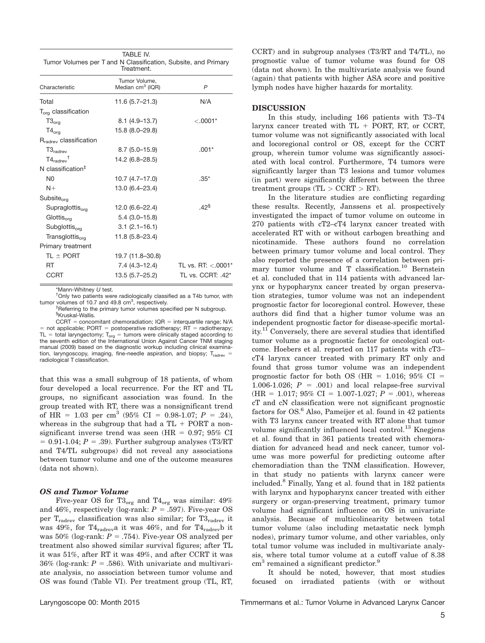| TABLE IV.<br>Tumor Volumes per T and N Classification, Subsite, and Primary<br>Treatment. |                                               |                                   |  |  |  |  |
|-------------------------------------------------------------------------------------------|-----------------------------------------------|-----------------------------------|--|--|--|--|
| Characteristic                                                                            | Tumor Volume,<br>Median cm <sup>3</sup> (IQR) | $\mathsf{P}$                      |  |  |  |  |
| Total                                                                                     | $11.6(5.7 - 21.3)$                            | N/A                               |  |  |  |  |
| $T_{\text{ora}}$ classification                                                           |                                               |                                   |  |  |  |  |
| $T3_{org}$                                                                                | $8.1(4.9-13.7)$                               | $< .0001*$                        |  |  |  |  |
| $T4_{org}$                                                                                | 15.8 (8.0-29.8)                               |                                   |  |  |  |  |
| R <sub>radrev</sub> classification                                                        |                                               |                                   |  |  |  |  |
| $T3_{\text{radrev}}$                                                                      | $8.7(5.0-15.9)$                               | $.001*$                           |  |  |  |  |
| $T4_{\text{radrav}}$ <sup>†</sup>                                                         | 14.2 (6.8–28.5)                               |                                   |  |  |  |  |
| N classification $‡$                                                                      |                                               |                                   |  |  |  |  |
| N <sub>0</sub>                                                                            | $10.7(4.7-17.0)$                              | $.35*$                            |  |  |  |  |
| $N+$                                                                                      | 13.0 (6.4–23.4)                               |                                   |  |  |  |  |
| Subsite <sub>org</sub>                                                                    |                                               |                                   |  |  |  |  |
| $Supraglottis_{\alpha m}$                                                                 | $12.0(6.6-22.4)$                              | $42^{\frac{5}{9}}$                |  |  |  |  |
| Glottis <sub>ora</sub>                                                                    | $5.4(3.0-15.8)$                               |                                   |  |  |  |  |
| Subglottis <sub>ora</sub>                                                                 | $3.1 (2.1 - 16.1)$                            |                                   |  |  |  |  |
| Transglottis <sub>ora</sub>                                                               | $11.8(5.8 - 23.4)$                            |                                   |  |  |  |  |
| Primary treatment                                                                         |                                               |                                   |  |  |  |  |
| $TL \pm PORT$                                                                             | 19.7 (11.8–30.8)                              |                                   |  |  |  |  |
| <b>RT</b>                                                                                 | 7.4 (4.3–12.4)                                | TL vs. RT: $< 0.001$ <sup>*</sup> |  |  |  |  |
| CCRT                                                                                      | 13.5 (5.7-25.2)                               | TL vs. CCRT: .42*                 |  |  |  |  |

 $*$ Mann-Whitney  $U$  test.

<sup>†</sup>Only two patients were radiologically classified as a T4b tumor, with tumor volumes of 10.7 and 49.8  $\text{cm}^3$ , respectively.

Referring to the primary tumor volumes specified per N subgroup. § Kruskal-Wallis.

 $CCRT = concomitant chemoradiation; IQR = interquartile range; N/A$ = not applicable; PORT = postoperative radiotherapy;  $RT$  = radiotherapy; TL = total laryngectomy;  $T_{org}$  = tumors were clinically staged according to the seventh edition of the International Union Against Cancer TNM staging manual (2009) based on the diagnostic workup including clinical examination, laryngoscopy, imaging, fine-needle aspiration, and biopsy;  $T_{\text{radrew}}$ radiological T classification.

that this was a small subgroup of 18 patients, of whom four developed a local recurrence. For the RT and TL groups, no significant association was found. In the group treated with RT, there was a nonsignificant trend of HR = 1.03 per cm<sup>3</sup> (95% CI = 0.98-1.07; P = .24), whereas in the subgroup that had a  $TL + PORT$  a nonsignificant inverse trend was seen (HR  $= 0.97$ ; 95% CI  $= 0.91-1.04$ ;  $P = .39$ ). Further subgroup analyses (T3/RT and T4/TL subgroups) did not reveal any associations between tumor volume and one of the outcome measures (data not shown).

### OS and Tumor Volume

Five-year OS for  $T3_{org}$  and  $T4_{org}$  was similar:  $49\%$ and 46%, respectively (log-rank:  $P = .597$ ). Five-year OS per T<sub>radrev</sub> classification was also similar; for T3<sub>radrev</sub> it was 49%, for T4<sub>radrev</sub>a it was 46%, and for T4<sub>radrev</sub>b it was 50% (log-rank:  $P = .754$ ). Five-year OS analyzed per treatment also showed similar survival figures; after TL it was 51%, after RT it was 49%, and after CCRT it was 36% (log-rank:  $P = .586$ ). With univariate and multivariate analysis, no association between tumor volume and OS was found (Table VI). Per treatment group (TL, RT,

CCRT) and in subgroup analyses (T3/RT and T4/TL), no prognostic value of tumor volume was found for OS (data not shown). In the multivariate analysis we found (again) that patients with higher ASA score and positive lymph nodes have higher hazards for mortality.

#### DISCUSSION

In this study, including 166 patients with T3–T4 larynx cancer treated with  $TL + PORT$ , RT, or CCRT, tumor volume was not significantly associated with local and locoregional control or OS, except for the CCRT group, wherein tumor volume was significantly associated with local control. Furthermore, T4 tumors were significantly larger than T3 lesions and tumor volumes (in part) were significantly different between the three treatment groups  $(TL > CCRT > RT)$ .

In the literature studies are conflicting regarding these results. Recently, Janssens et al. prospectively investigated the impact of tumor volume on outcome in 270 patients with cT2–cT4 larynx cancer treated with accelerated RT with or without carbogen breathing and nicotinamide. These authors found no correlation between primary tumor volume and local control. They also reported the presence of a correlation between primary tumor volume and T classification.<sup>10</sup> Bernstein et al. concluded that in 114 patients with advanced larynx or hypopharynx cancer treated by organ preservation strategies, tumor volume was not an independent prognostic factor for locoregional control. However, these authors did find that a higher tumor volume was an independent prognostic factor for disease-specific mortality.<sup>11</sup> Conversely, there are several studies that identified tumor volume as a prognostic factor for oncological outcome. Hoebers et al. reported on 117 patients with cT3– cT4 larynx cancer treated with primary RT only and found that gross tumor volume was an independent prognostic factor for both OS (HR =  $1.016$ ; 95% CI = 1.006-1.026;  $P = .001$ ) and local relapse-free survival  $(HR = 1.017; 95\% \text{ CI} = 1.007-1.027; P = .001)$ , whereas cT and cN classification were not significant prognostic factors for  $OS<sup>6</sup>$  Also, Pameijer et al. found in 42 patients with T3 larynx cancer treated with RT alone that tumor volume significantly influenced local control.<sup>13</sup> Knegjens et al. found that in 361 patients treated with chemoradiation for advanced head and neck cancer, tumor volume was more powerful for predicting outcome after chemoradiation than the TNM classification. However, in that study no patients with larynx cancer were included.<sup>8</sup> Finally, Yang et al. found that in 182 patients with larynx and hypopharynx cancer treated with either surgery or organ-preserving treatment, primary tumor volume had significant influence on OS in univariate analysis. Because of multicolinearity between total tumor volume (also including metastatic neck lymph nodes), primary tumor volume, and other variables, only total tumor volume was included in multivariate analysis, where total tumor volume at a cutoff value of 8.38 cm<sup>3</sup> remained a significant predictor.<sup>9</sup>

It should be noted, however, that most studies focused on irradiated patients (with or without

Laryngoscope 00: Month 2015 Timmermans et al.: Tumor Volume in Advanced Larynx Cancer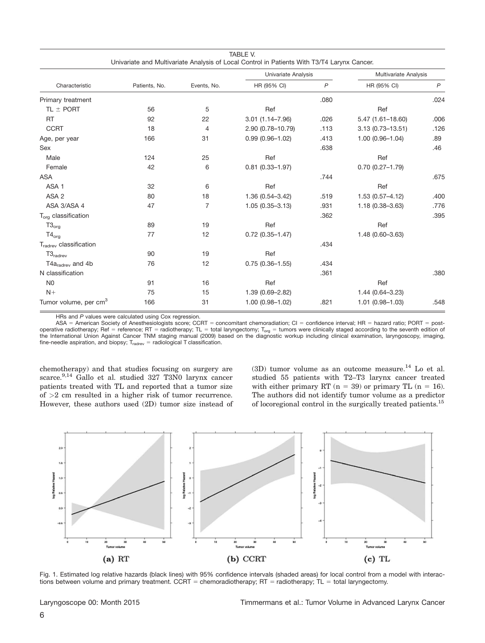| Characteristic                     | Patients, No. | Events, No.    | Univariate Analysis |              | Multivariate Analysis  |              |
|------------------------------------|---------------|----------------|---------------------|--------------|------------------------|--------------|
|                                    |               |                | HR (95% CI)         | $\mathsf{P}$ | HR (95% CI)            | $\mathsf{P}$ |
| Primary treatment                  |               |                |                     | .080         |                        | .024         |
| TL $\pm$ PORT                      | 56            | 5              | Ref                 |              | Ref                    |              |
| <b>RT</b>                          | 92            | 22             | $3.01(1.14 - 7.96)$ | .026         | $5.47(1.61 - 18.60)$   | .006         |
| <b>CCRT</b>                        | 18            | $\overline{4}$ | 2.90 (0.78-10.79)   | .113         | $3.13(0.73 - 13.51)$   | .126         |
| Age, per year                      | 166           | 31             | $0.99(0.96 - 1.02)$ | .413         | $1.00(0.96 - 1.04)$    | .89          |
| Sex                                |               |                |                     | .638         |                        | .46          |
| Male                               | 124           | 25             | Ref                 |              | Ref                    |              |
| Female                             | 42            | 6              | $0.81$ (0.33-1.97)  |              | $0.70$ $(0.27 - 1.79)$ |              |
| <b>ASA</b>                         |               |                |                     | .744         |                        | .675         |
| ASA <sub>1</sub>                   | 32            | 6              | Ref                 |              | Ref                    |              |
| ASA <sub>2</sub>                   | 80            | 18             | 1.36 (0.54-3.42)    | .519         | $1.53(0.57 - 4.12)$    | .400         |
| ASA 3/ASA 4                        | 47            | $\overline{7}$ | $1.05(0.35 - 3.13)$ | .931         | $1.18(0.38 - 3.63)$    | .776         |
| $T_{org}$ classification           |               |                |                     | .362         |                        | .395         |
| $T3_{org}$                         | 89            | 19             | Ref                 |              | Ref                    |              |
| $T4_{org}$                         | 77            | 12             | $0.72$ (0.35-1.47)  |              | 1.48 (0.60-3.63)       |              |
| T <sub>radrev</sub> classification |               |                |                     | .434         |                        |              |
| $T3_{\text{radrev}}$               | 90            | 19             | Ref                 |              |                        |              |
| $T4a_{\text{radrev}}$ and 4b       | 76            | 12             | $0.75(0.36 - 1.55)$ | .434         |                        |              |
| N classification                   |               |                |                     | .361         |                        | .380         |
| N <sub>0</sub>                     | 91            | 16             | Ref                 |              | Ref                    |              |
| $N+$                               | 75            | 15             | 1.39 (0.69-2.82)    |              | 1.44 (0.64-3.23)       |              |
| Tumor volume, per cm <sup>3</sup>  | 166           | 31             | $1.00(0.98 - 1.02)$ | .821         | $1.01(0.98 - 1.03)$    | .548         |

TABLE V.

HRs and P values were calculated using Cox regression.

ASA = American Society of Anesthesiologists score; CCRT = concomitant chemoradiation; CI = confidence interval; HR = hazard ratio; PORT = postoperative radiotherapy; Ref = reference; RT = radiotherapy; TL = total laryngectomy; T<sub>org</sub> = tumors were clinically staged according to the seventh edition of<br>the International Union Against Cancer TNM staging manual (200 fine-needle aspiration, and biopsy;  $T_{\text{radrev}} =$  radiological T classification.

chemotherapy) and that studies focusing on surgery are scarce.<sup>9,14</sup> Gallo et al. studied 327 T3N0 larynx cancer patients treated with TL and reported that a tumor size of >2 cm resulted in a higher risk of tumor recurrence. However, these authors used (2D) tumor size instead of  $(3D)$  tumor volume as an outcome measure.<sup>14</sup> Lo et al. studied 55 patients with T2–T3 larynx cancer treated with either primary RT ( $n = 39$ ) or primary TL ( $n = 16$ ). The authors did not identify tumor volume as a predictor of locoregional control in the surgically treated patients.15



Fig. 1. Estimated log relative hazards (black lines) with 95% confidence intervals (shaded areas) for local control from a model with interactions between volume and primary treatment. CCRT = chemoradiotherapy; RT = radiotherapy;  $TL =$  total laryngectomy.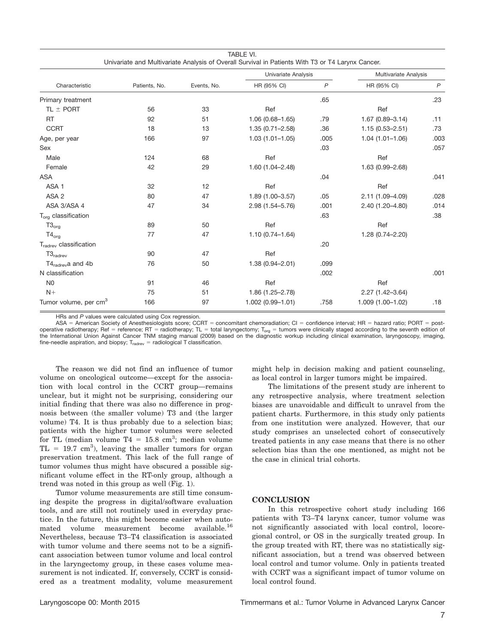| Univariate and Multivariate Analysis of Overall Survival in Patients With T3 or T4 Larynx Cancer. |               |             |                     |              |                       |                |  |  |  |
|---------------------------------------------------------------------------------------------------|---------------|-------------|---------------------|--------------|-----------------------|----------------|--|--|--|
| Characteristic                                                                                    |               | Events, No. | Univariate Analysis |              | Multivariate Analysis |                |  |  |  |
|                                                                                                   | Patients, No. |             | HR (95% CI)         | $\mathsf{P}$ | HR (95% CI)           | $\overline{P}$ |  |  |  |
| Primary treatment                                                                                 |               |             |                     | .65          |                       | .23            |  |  |  |
| TL $\pm$ PORT                                                                                     | 56            | 33          | Ref                 |              | Ref                   |                |  |  |  |
| <b>RT</b>                                                                                         | 92            | 51          | $1.06(0.68 - 1.65)$ | .79          | $1.67(0.89 - 3.14)$   | .11            |  |  |  |
| <b>CCRT</b>                                                                                       | 18            | 13          | $1.35(0.71 - 2.58)$ | .36          | $1.15(0.53 - 2.51)$   | .73            |  |  |  |
| Age, per year                                                                                     | 166           | 97          | $1.03(1.01 - 1.05)$ | .005         | $1.04(1.01 - 1.06)$   | .003           |  |  |  |
| Sex                                                                                               |               |             |                     | .03          |                       | .057           |  |  |  |
| Male                                                                                              | 124           | 68          | Ref                 |              | Ref                   |                |  |  |  |
| Female                                                                                            | 42            | 29          | $1.60(1.04 - 2.48)$ |              | 1.63 (0.99-2.68)      |                |  |  |  |
| <b>ASA</b>                                                                                        |               |             |                     | .04          |                       | .041           |  |  |  |
| ASA <sub>1</sub>                                                                                  | 32            | 12          | Ref                 |              | Ref                   |                |  |  |  |
| ASA <sub>2</sub>                                                                                  | 80            | 47          | $1.89(1.00 - 3.57)$ | .05          | 2.11 (1.09-4.09)      | .028           |  |  |  |
| ASA 3/ASA 4                                                                                       | 47            | 34          | 2.98 (1.54-5.76)    | .001         | 2.40 (1.20-4.80)      | .014           |  |  |  |
| $T_{org}$ classification                                                                          |               |             |                     | .63          |                       | .38            |  |  |  |
| $T3_{org}$                                                                                        | 89            | 50          | Ref                 |              | Ref                   |                |  |  |  |
| $T4_{org}$                                                                                        | 77            | 47          | $1.10(0.74 - 1.64)$ |              | 1.28 (0.74-2.20)      |                |  |  |  |
| $T_{\text{radrev}}$ classification                                                                |               |             |                     | .20          |                       |                |  |  |  |
| $T3_{\text{radrev}}$                                                                              | 90            | 47          | Ref                 |              |                       |                |  |  |  |
| $T4_{\text{radrev}}a$ and 4b                                                                      | 76            | 50          | $1.38(0.94 - 2.01)$ | .099         |                       |                |  |  |  |
| N classification                                                                                  |               |             |                     | .002         |                       | .001           |  |  |  |
| N <sub>0</sub>                                                                                    | 91            | 46          | Ref                 |              | Ref                   |                |  |  |  |
| $N+$                                                                                              | 75            | 51          | 1.86 (1.25-2.78)    |              | 2.27 (1.42-3.64)      |                |  |  |  |
| Tumor volume, per cm <sup>3</sup>                                                                 | 166           | 97          | 1.002 (0.99-1.01)   | .758         | 1.009 (1.00-1.02)     | .18            |  |  |  |

TABLE VI.

HRs and P values were calculated using Cox regression.

ASA = American Society of Anesthesiologists score; CCRT = concomitant chemoradiation; CI = confidence interval; HR = hazard ratio; PORT = postoperative radiotherapy; Ref = reference; RT = radiotherapy; TL = total laryngectomy; T<sub>org</sub> = tumors were clinically staged according to the seventh edition of the International Union Against Cancer TNM staging manual (2009) based on the diagnostic workup including clinical examination, laryngoscopy, imaging, fine-needle aspiration, and biopsy;  $T_{\text{raderev}} =$  radiological T classification.

The reason we did not find an influence of tumor volume on oncological outcome—except for the association with local control in the CCRT group—remains unclear, but it might not be surprising, considering our initial finding that there was also no difference in prognosis between (the smaller volume) T3 and (the larger volume) T4. It is thus probably due to a selection bias; patients with the higher tumor volumes were selected for TL (median volume T4 =  $15.8 \text{ cm}^3$ ; median volume  $TL = 19.7 cm<sup>3</sup>$ , leaving the smaller tumors for organ preservation treatment. This lack of the full range of tumor volumes thus might have obscured a possible significant volume effect in the RT-only group, although a trend was noted in this group as well (Fig. 1).

Tumor volume measurements are still time consuming despite the progress in digital/software evaluation tools, and are still not routinely used in everyday practice. In the future, this might become easier when automated volume measurement become available.16 Nevertheless, because T3–T4 classification is associated with tumor volume and there seems not to be a significant association between tumor volume and local control in the laryngectomy group, in these cases volume measurement is not indicated. If, conversely, CCRT is considered as a treatment modality, volume measurement might help in decision making and patient counseling, as local control in larger tumors might be impaired.

The limitations of the present study are inherent to any retrospective analysis, where treatment selection biases are unavoidable and difficult to unravel from the patient charts. Furthermore, in this study only patients from one institution were analyzed. However, that our study comprises an unselected cohort of consecutively treated patients in any case means that there is no other selection bias than the one mentioned, as might not be the case in clinical trial cohorts.

#### **CONCLUSION**

In this retrospective cohort study including 166 patients with T3–T4 larynx cancer, tumor volume was not significantly associated with local control, locoregional control, or OS in the surgically treated group. In the group treated with RT, there was no statistically significant association, but a trend was observed between local control and tumor volume. Only in patients treated with CCRT was a significant impact of tumor volume on local control found.